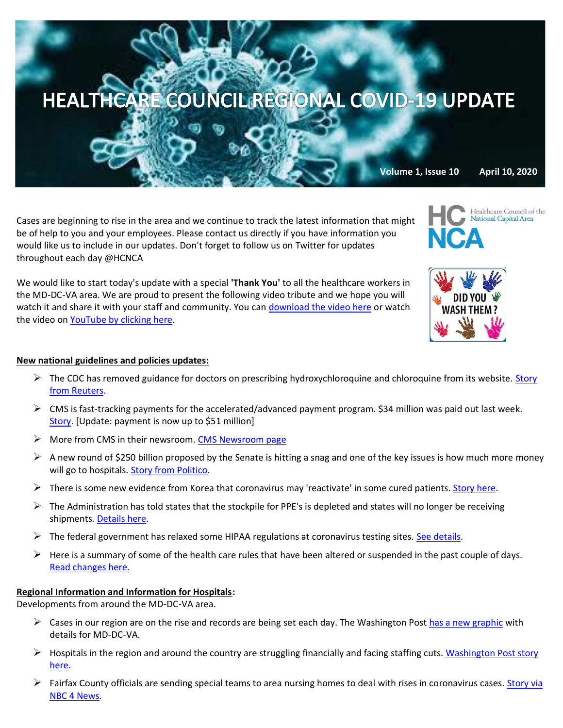

Cases are beginning to rise in the area and we continue to track the latest information that might be of help to you and your employees. Please contact us directly if you have information you would like us to include in our updates. Don't forget to follow us on Twitter for updates throughout each day @HCNCA

We would like to start today's update with a special **'Thank You'** to all the healthcare workers in the MD-DC-VA area. We are proud to present the following video tribute and we hope you will watch it and share it with your staff and community. You can [download the video here](https://we.tl/t-0B45ap5TRt#_blank) or watch the video on [YouTube by clicking here.](https://youtu.be/HBYUCBxwV4E)

## **New national guidelines and policies updates:**

- $\triangleright$  The CDC has removed guidance for doctors on prescribing hydroxychloroquine and chloroquine from its website. Story [from Reuters.](https://www.reuters.com/article/us-health-coronavirus-usa-cdcguidance/cdc-removes-unusual-guidance-to-doctors-about-drug-favored-by-trump-idUSKBN21P39R?mkt_tok=eyJpIjoiWlRJNVpURmtPVFppT0RneSIsInQiOiJXWVhMUEpod0hVd3FQaVh0MSttY28zXC9nYmZLeHQ3YVBYcHFqb1wvbU13VVBETmp2SEJTYjhUbGVmbk5tbnRQS2haR2JZTGFJY2loaXc2RG5ZdmFBd2ordDR6VDdRM0kxUHJ0bFNQV1ppMDFGUnRDXC82TXBrWm55eExraE5CTCtNcCJ9)
- $\triangleright$  CMS is fast-tracking payments for the accelerated/advanced payment program. \$34 million was paid out last week. [Story.](https://www.hpnonline.com/infection-prevention/crisis-planning-outbreak-response/article/21133160/cms-approves-34-billion-for-providers-with-the-acceleratedadvance-payment-program-in-one-week) [Update: payment is now up to \$51 million]
- ➢ More from CMS in their newsroom. [CMS Newsroom page](https://www.cms.gov/newsroom)
- $\triangleright$  A new round of \$250 billion proposed by the Senate is hitting a snag and one of the key issues is how much more money will go to hospitals. [Story from Politico.](https://www.politico.com/news/2020/04/08/congress-coronavirus-package-174677?mkt_tok=eyJpIjoiWkdKbU4yWmhaRGxpWlRZMiIsInQiOiJnK2lzbFFJYXJpQjRiMHFJNFZBdGZWeTlWMmhmU3orZDR4bnFIWHhwS0k4TFd1alEyTkxUaTB2VERcLzRjU2YxMk5qczhpT0phRWhQZGs5YUpDMXNGNlJoUUNpQXVSdFRXTG9VYmhNMmtTMU1PYkFUeGs2Vlp0UDc0eHhKWFJKOUYifQ==)
- $\triangleright$  There is some new evidence from Korea that coronavirus may 'reactivate' in some cured patients[. Story here.](https://www.bloomberg.com/news/articles/2020-04-09/coronavirus-may-reactivate-in-cured-patients-korean-cdc-says?mkt_tok=eyJpIjoiWkdGbU1tRTBNMkprTldReSIsInQiOiJ1ZTd5a3FRM0hTSGJWaVBoVXAwdHdNUUZSXC9aQ0tjQW1nd3VhRWF4XC9VK0U3Q2VoOGJXOHc3d1JONXpSOHJKa1F2ZHpmb1lSZnA1TUJ4VmdiOGx4aWQyUkVaMEZ2cmJBTXg2WTdTXC84aGpsY3VDRksxdEdOU3g1TFVKRHdKZjJLVSJ9)
- $\triangleright$  The Administration has told states that the stockpile for PPE's is depleted and states will no longer be receiving shipments[. Details here.](https://thehill.com/policy/healthcare/491871-federal-stockpile-of-emergency-medical-equipment-depleted-house-panel-says?mkt_tok=eyJpIjoiWkdGbU1tRTBNMkprTldReSIsInQiOiJ1ZTd5a3FRM0hTSGJWaVBoVXAwdHdNUUZSXC9aQ0tjQW1nd3VhRWF4XC9VK0U3Q2VoOGJXOHc3d1JONXpSOHJKa1F2ZHpmb1lSZnA1TUJ4VmdiOGx4aWQyUkVaMEZ2cmJBTXg2WTdTXC84aGpsY3VDRksxdEdOU3g1TFVKRHdKZjJLVSJ9)
- $\triangleright$  The federal government has relaxed some HIPAA regulations at coronavirus testing sites. [See details.](https://www.law360.com/health/articles/1262209/feds-relax-hipaa-enforcement-at-coronavirus-testing-sites?nl_pk=a286494e-2d18-4627-9c2d-b4ef3cfd0b9f&utm_source=newsletter&utm_medium=email&utm_campaign=health)
- $\triangleright$  Here is a summary of some of the health care rules that have been altered or suspended in the past couple of days. [Read changes here.](https://www.law360.com/health/articles/1262407/4-key-developments-as-coronavirus-nears-possible-peak?nl_pk=a286494e-2d18-4627-9c2d-b4ef3cfd0b9f&utm_source=newsletter&utm_medium=email&utm_campaign=health)

#### **Regional Information and Information for Hospitals:**

Developments from around the MD-DC-VA area.

- $\triangleright$  Cases in our region are on the rise and records are being set each day. The Washington Pos[t has a new graphic](https://www.washingtonpost.com/graphics/local/dc-maryland-virginia-coronavirus-cases/?itid=lk_inline_manual_3) with details for MD-DC-VA.
- $\triangleright$  Hospitals in the region and around the country are struggling financially and facing staffing cuts. Washington Post story [here.](https://www.washingtonpost.com/health/starved-for-cash-hospitals-and-doctor-groups-cut-staff-amid-pandemic/2020/04/09/d3593f54-79a7-11ea-a130-df573469f094_story.html)
- > Fairfax County officials are sending special teams to area nursing homes to deal with rises in coronavirus cases. Story via [NBC 4 News.](https://www.nbcwashington.com/news/local/fairfax-county-sends-special-teams-to-care-facilities/2268498/)

**Volume 1, Issue 10 April 10, 2020**